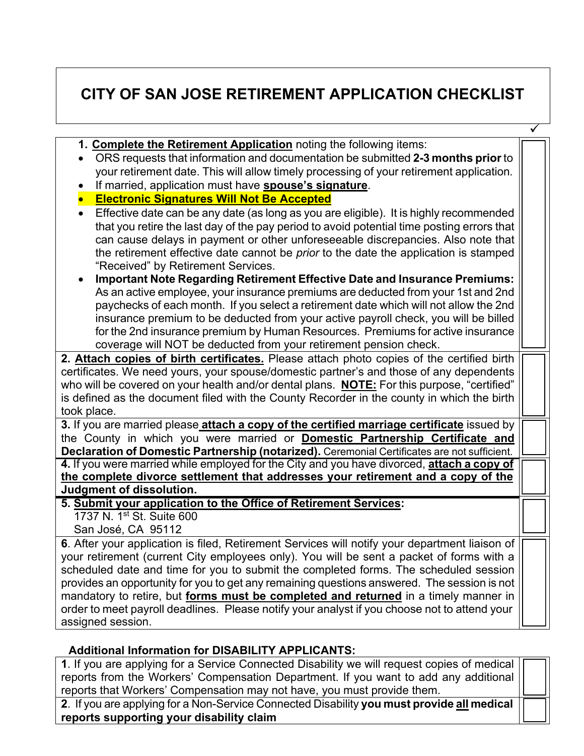# **CITY OF SAN JOSE RETIREMENT APPLICATION CHECKLIST**

| 1. Complete the Retirement Application noting the following items:                                                                                                                        |  |  |  |  |
|-------------------------------------------------------------------------------------------------------------------------------------------------------------------------------------------|--|--|--|--|
| ORS requests that information and documentation be submitted 2-3 months prior to                                                                                                          |  |  |  |  |
| your retirement date. This will allow timely processing of your retirement application.                                                                                                   |  |  |  |  |
| If married, application must have <b>spouse's signature</b> .<br>$\bullet$                                                                                                                |  |  |  |  |
| <b>Electronic Signatures Will Not Be Accepted</b>                                                                                                                                         |  |  |  |  |
| Effective date can be any date (as long as you are eligible). It is highly recommended<br>$\bullet$                                                                                       |  |  |  |  |
| that you retire the last day of the pay period to avoid potential time posting errors that                                                                                                |  |  |  |  |
| can cause delays in payment or other unforeseeable discrepancies. Also note that                                                                                                          |  |  |  |  |
| the retirement effective date cannot be <i>prior</i> to the date the application is stamped                                                                                               |  |  |  |  |
| "Received" by Retirement Services.                                                                                                                                                        |  |  |  |  |
| <b>Important Note Regarding Retirement Effective Date and Insurance Premiums:</b><br>$\bullet$                                                                                            |  |  |  |  |
| As an active employee, your insurance premiums are deducted from your 1st and 2nd                                                                                                         |  |  |  |  |
| paychecks of each month. If you select a retirement date which will not allow the 2nd                                                                                                     |  |  |  |  |
| insurance premium to be deducted from your active payroll check, you will be billed                                                                                                       |  |  |  |  |
| for the 2nd insurance premium by Human Resources. Premiums for active insurance                                                                                                           |  |  |  |  |
| coverage will NOT be deducted from your retirement pension check.                                                                                                                         |  |  |  |  |
| 2. Attach copies of birth certificates. Please attach photo copies of the certified birth                                                                                                 |  |  |  |  |
| certificates. We need yours, your spouse/domestic partner's and those of any dependents                                                                                                   |  |  |  |  |
| who will be covered on your health and/or dental plans. NOTE: For this purpose, "certified"<br>is defined as the document filed with the County Recorder in the county in which the birth |  |  |  |  |
| took place.                                                                                                                                                                               |  |  |  |  |
| 3. If you are married please attach a copy of the certified marriage certificate issued by                                                                                                |  |  |  |  |
| the County in which you were married or <b>Domestic Partnership Certificate and</b>                                                                                                       |  |  |  |  |
| Declaration of Domestic Partnership (notarized). Ceremonial Certificates are not sufficient.                                                                                              |  |  |  |  |
| 4. If you were married while employed for the City and you have divorced, attach a copy of                                                                                                |  |  |  |  |
| the complete divorce settlement that addresses your retirement and a copy of the                                                                                                          |  |  |  |  |
| Judgment of dissolution.                                                                                                                                                                  |  |  |  |  |
| 5. Submit your application to the Office of Retirement Services:                                                                                                                          |  |  |  |  |
| 1737 N. 1 <sup>st</sup> St. Suite 600                                                                                                                                                     |  |  |  |  |
| San José, CA 95112                                                                                                                                                                        |  |  |  |  |
| 6. After your application is filed, Retirement Services will notify your department liaison of                                                                                            |  |  |  |  |
| your retirement (current City employees only). You will be sent a packet of forms with a                                                                                                  |  |  |  |  |
| scheduled date and time for you to submit the completed forms. The scheduled session                                                                                                      |  |  |  |  |
| provides an opportunity for you to get any remaining questions answered. The session is not                                                                                               |  |  |  |  |
| mandatory to retire, but forms must be completed and returned in a timely manner in                                                                                                       |  |  |  |  |
| order to meet payroll deadlines. Please notify your analyst if you choose not to attend your                                                                                              |  |  |  |  |
| assigned session.                                                                                                                                                                         |  |  |  |  |

## **Additional Information for DISABILITY APPLICANTS:**

**1**. If you are applying for a Service Connected Disability we will request copies of medical reports from the Workers' Compensation Department. If you want to add any additional reports that Workers' Compensation may not have, you must provide them. **2**. If you are applying for a Non-Service Connected Disability **you must provide all medical**

**reports supporting your disability claim**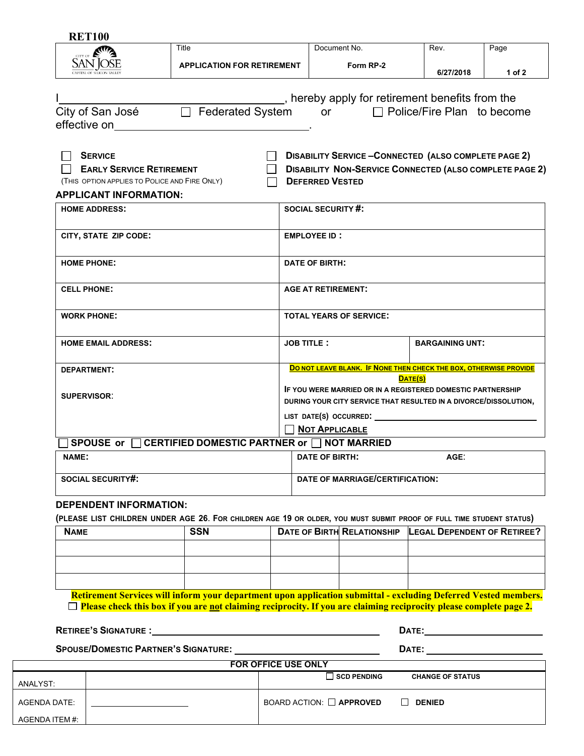| Title<br><b>APPLICATION FOR RETIREMENT</b><br>□ Federated System<br><b>EARLY SERVICE RETIREMENT</b><br>(THIS OPTION APPLIES TO POLICE AND FIRE ONLY) | Document No.<br>Form RP-2<br>_, hereby apply for retirement benefits from the<br>or □ Police/Fire Plan to become<br><b>DISABILITY SERVICE-CONNECTED (ALSO COMPLETE PAGE 2)</b><br><b>DISABILITY NON-SERVICE CONNECTED (ALSO COMPLETE PAGE 2)</b><br><b>DEFERRED VESTED</b> | Rev.<br>6/27/2018                                                                                                                                                                                                                                                                                                                                  | Page<br>1 of 2                                                                                                                                                                                           |  |
|------------------------------------------------------------------------------------------------------------------------------------------------------|----------------------------------------------------------------------------------------------------------------------------------------------------------------------------------------------------------------------------------------------------------------------------|----------------------------------------------------------------------------------------------------------------------------------------------------------------------------------------------------------------------------------------------------------------------------------------------------------------------------------------------------|----------------------------------------------------------------------------------------------------------------------------------------------------------------------------------------------------------|--|
|                                                                                                                                                      |                                                                                                                                                                                                                                                                            |                                                                                                                                                                                                                                                                                                                                                    |                                                                                                                                                                                                          |  |
|                                                                                                                                                      |                                                                                                                                                                                                                                                                            |                                                                                                                                                                                                                                                                                                                                                    |                                                                                                                                                                                                          |  |
|                                                                                                                                                      |                                                                                                                                                                                                                                                                            |                                                                                                                                                                                                                                                                                                                                                    |                                                                                                                                                                                                          |  |
|                                                                                                                                                      |                                                                                                                                                                                                                                                                            |                                                                                                                                                                                                                                                                                                                                                    |                                                                                                                                                                                                          |  |
|                                                                                                                                                      |                                                                                                                                                                                                                                                                            |                                                                                                                                                                                                                                                                                                                                                    |                                                                                                                                                                                                          |  |
|                                                                                                                                                      |                                                                                                                                                                                                                                                                            |                                                                                                                                                                                                                                                                                                                                                    |                                                                                                                                                                                                          |  |
|                                                                                                                                                      |                                                                                                                                                                                                                                                                            |                                                                                                                                                                                                                                                                                                                                                    |                                                                                                                                                                                                          |  |
|                                                                                                                                                      |                                                                                                                                                                                                                                                                            |                                                                                                                                                                                                                                                                                                                                                    |                                                                                                                                                                                                          |  |
|                                                                                                                                                      |                                                                                                                                                                                                                                                                            |                                                                                                                                                                                                                                                                                                                                                    |                                                                                                                                                                                                          |  |
|                                                                                                                                                      |                                                                                                                                                                                                                                                                            |                                                                                                                                                                                                                                                                                                                                                    |                                                                                                                                                                                                          |  |
|                                                                                                                                                      | <b>SOCIAL SECURITY #:</b>                                                                                                                                                                                                                                                  |                                                                                                                                                                                                                                                                                                                                                    |                                                                                                                                                                                                          |  |
|                                                                                                                                                      |                                                                                                                                                                                                                                                                            |                                                                                                                                                                                                                                                                                                                                                    |                                                                                                                                                                                                          |  |
|                                                                                                                                                      |                                                                                                                                                                                                                                                                            |                                                                                                                                                                                                                                                                                                                                                    |                                                                                                                                                                                                          |  |
|                                                                                                                                                      |                                                                                                                                                                                                                                                                            |                                                                                                                                                                                                                                                                                                                                                    |                                                                                                                                                                                                          |  |
|                                                                                                                                                      |                                                                                                                                                                                                                                                                            |                                                                                                                                                                                                                                                                                                                                                    |                                                                                                                                                                                                          |  |
|                                                                                                                                                      |                                                                                                                                                                                                                                                                            | <b>BARGAINING UNT:</b>                                                                                                                                                                                                                                                                                                                             |                                                                                                                                                                                                          |  |
|                                                                                                                                                      |                                                                                                                                                                                                                                                                            |                                                                                                                                                                                                                                                                                                                                                    |                                                                                                                                                                                                          |  |
|                                                                                                                                                      |                                                                                                                                                                                                                                                                            |                                                                                                                                                                                                                                                                                                                                                    |                                                                                                                                                                                                          |  |
|                                                                                                                                                      | DURING YOUR CITY SERVICE THAT RESULTED IN A DIVORCE/DISSOLUTION,                                                                                                                                                                                                           |                                                                                                                                                                                                                                                                                                                                                    |                                                                                                                                                                                                          |  |
|                                                                                                                                                      |                                                                                                                                                                                                                                                                            |                                                                                                                                                                                                                                                                                                                                                    |                                                                                                                                                                                                          |  |
|                                                                                                                                                      |                                                                                                                                                                                                                                                                            |                                                                                                                                                                                                                                                                                                                                                    |                                                                                                                                                                                                          |  |
|                                                                                                                                                      |                                                                                                                                                                                                                                                                            |                                                                                                                                                                                                                                                                                                                                                    |                                                                                                                                                                                                          |  |
|                                                                                                                                                      |                                                                                                                                                                                                                                                                            | $AGE$ :                                                                                                                                                                                                                                                                                                                                            |                                                                                                                                                                                                          |  |
|                                                                                                                                                      |                                                                                                                                                                                                                                                                            |                                                                                                                                                                                                                                                                                                                                                    |                                                                                                                                                                                                          |  |
| <b>DEPENDENT INFORMATION:</b>                                                                                                                        |                                                                                                                                                                                                                                                                            | <b>EMPLOYEE ID:</b><br>DATE OF BIRTH:<br><b>AGE AT RETIREMENT:</b><br><b>TOTAL YEARS OF SERVICE:</b><br><b>JOB TITLE:</b><br><b>NOT APPLICABLE</b><br>CERTIFIED DOMESTIC PARTNER or □ NOT MARRIED<br><b>DATE OF BIRTH:</b><br>(PLEASE LIST CHILDREN UNDER AGE 26. FOR CHILDREN AGE 19 OR OLDER, YOU MUST SUBMIT PROOF OF FULL TIME STUDENT STATUS) | DO NOT LEAVE BLANK. IF NONE THEN CHECK THE BOX, OTHERWISE PROVIDE<br>DATE(S)<br>IF YOU WERE MARRIED OR IN A REGISTERED DOMESTIC PARTNERSHIP<br>LIST DATE(S) OCCURRED:<br>DATE OF MARRIAGE/CERTIFICATION: |  |

| <b>NAME</b> | <b>SSN</b> |  | DATE OF BIRTH RELATIONSHIP LEGAL DEPENDENT OF RETIREE? |
|-------------|------------|--|--------------------------------------------------------|
|             |            |  |                                                        |
|             |            |  |                                                        |
|             |            |  |                                                        |

**Retirement Services will inform your department upon application submittal - excluding Deferred Vested members. Please check this box if you are not claiming reciprocity. If you are claiming reciprocity please complete page 2.**

**RETIREE'S SIGNATURE :** <u>DATE: DATE: DATE:</u> DATE: DATE: DATE: DATE: DATE: DATE: DATE: DATE: DATE: DATE: DATE: DATE: DATE: DATE: DATE: DATE: DATE: DATE: DATE: DATE: DATE: DATE: DATE: DATE: DATE: DATE: DATE: DATE: DATE: DATE

## **SPOUSE/DOMESTIC PARTNER'S SIGNATURE:** 2000 2000 2000 2000 2000 2012 2013 2014 2015 2016

| <b>FOR OFFICE USE ONLY</b> |  |                               |                         |  |
|----------------------------|--|-------------------------------|-------------------------|--|
| ANALYST:                   |  | $\Box$ SCD PENDING            | <b>CHANGE OF STATUS</b> |  |
| AGENDA DATE:               |  | BOARD ACTION: $\Box$ APPROVED | <b>DENIED</b>           |  |
| AGENDA ITEM #:             |  |                               |                         |  |